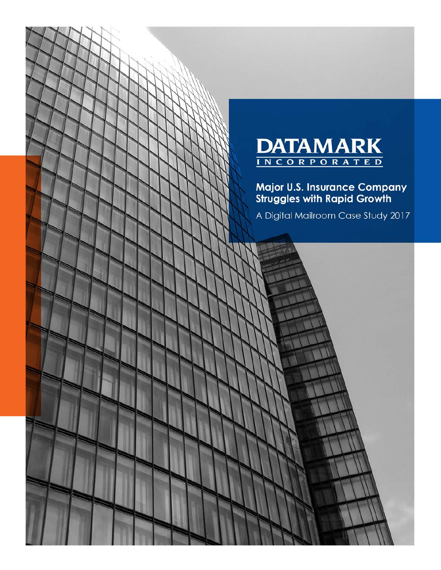

Major U.S. Insurance Company<br>Struggles with Rapid Growth

A Digital Mailroom Case Study 2017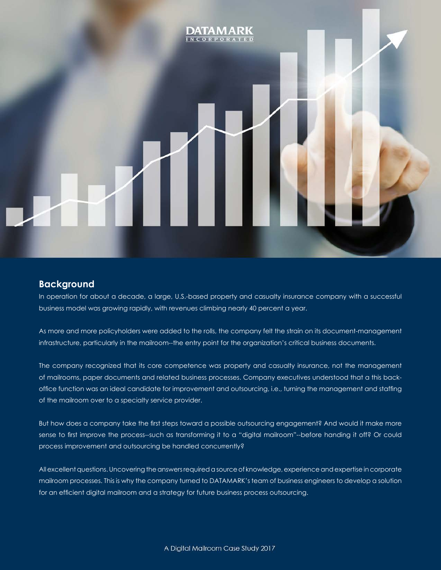

#### **Background**

In operation for about a decade, a large, U.S.-based property and casualty insurance company with a successful business model was growing rapidly, with revenues climbing nearly 40 percent a year.

As more and more policyholders were added to the rolls, the company felt the strain on its document-management infrastructure, particularly in the mailroom--the entry point for the organization's critical business documents.

The company recognized that its core competence was property and casualty insurance, not the management of mailrooms, paper documents and related business processes. Company executives understood that a this backoffice function was an ideal candidate for improvement and outsourcing, i.e., turning the management and staffing of the mailroom over to a specialty service provider.

But how does a company take the first steps toward a possible outsourcing engagement? And would it make more sense to first improve the process--such as transforming it to a "digital mailroom"--before handing it off? Or could process improvement and outsourcing be handled concurrently?

All excellent questions. Uncovering the answers required a source of knowledge, experience and expertise in corporate mailroom processes. This is why the company turned to DATAMARK's team of business engineers to develop a solution for an efficient digital mailroom and a strategy for future business process outsourcing.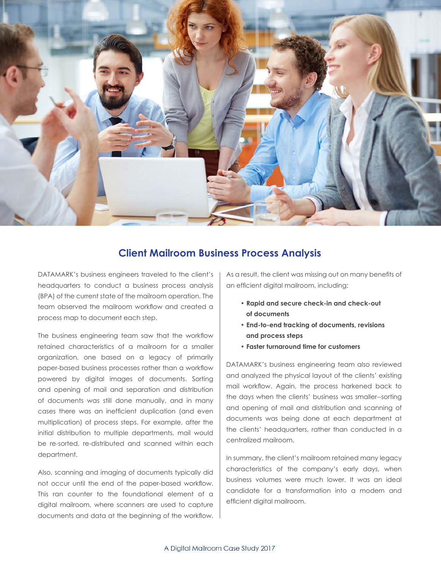

### **Client Mailroom Business Process Analysis**

DATAMARK's business engineers traveled to the client's headquarters to conduct a business process analysis (BPA) of the current state of the mailroom operation. The team observed the mailroom workflow and created a process map to document each step.

The business engineering team saw that the workflow retained characteristics of a mailroom for a smaller organization, one based on a legacy of primarily paper-based business processes rather than a workflow powered by digital images of documents. Sorting and opening of mail and separation and distribution of documents was still done manually, and in many cases there was an inefficient duplication (and even multiplication) of process steps. For example, after the initial distribution to multiple departments, mail would be re-sorted, re-distributed and scanned within each department.

Also, scanning and imaging of documents typically did not occur until the end of the paper-based workflow. This ran counter to the foundational element of a digital mailroom, where scanners are used to capture documents and data at the beginning of the workflow. As a result, the client was missing out on many benefits of an efficient digital mailroom, including:

- **Rapid and secure check-in and check-out of documents**
- **End-to-end tracking of documents, revisions and process steps**
- **Faster turnaround time for customers**

DATAMARK's business engineering team also reviewed and analyzed the physical layout of the clients' existing mail workflow. Again, the process harkened back to the days when the clients' business was smaller--sorting and opening of mail and distribution and scanning of documents was being done at each department at the clients' headquarters, rather than conducted in a centralized mailroom.

In summary, the client's mailroom retained many legacy characteristics of the company's early days, when business volumes were much lower. It was an ideal candidate for a transformation into a modern and efficient digital mailroom.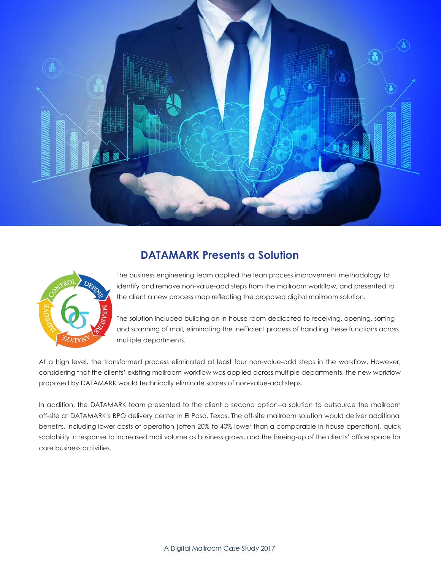

## **DATAMARK Presents a Solution**



 The business engineering team applied the lean process improvement methodology to identify and remove non-value-add steps from the mailroom workflow, and presented to the client a new process map reflecting the proposed digital mailroom solution.

 The solution included building an in-house room dedicated to receiving, opening, sorting and scanning of mail, eliminating the inefficient process of handling these functions across multiple departments.

At a high level, the transformed process eliminated at least four non-value-add steps in the workflow. However, considering that the clients' existing mailroom workflow was applied across multiple departments, the new workflow proposed by DATAMARK would technically eliminate scores of non-value-add steps.

In addition, the DATAMARK team presented to the client a second option--a solution to outsource the mailroom off-site at DATAMARK's BPO delivery center in El Paso, Texas. The off-site mailroom solution would deliver additional benefits, including lower costs of operation (often 20% to 40% lower than a comparable in-house operation), quick scalability in response to increased mail volume as business grows, and the freeing-up of the clients' office space for core business activities.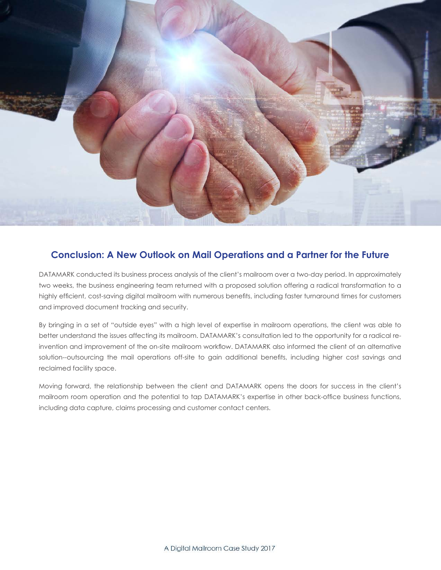

### **Conclusion: A New Outlook on Mail Operations and a Partner for the Future**

DATAMARK conducted its business process analysis of the client's mailroom over a two-day period. In approximately two weeks, the business engineering team returned with a proposed solution offering a radical transformation to a highly efficient, cost-saving digital mailroom with numerous benefits, including faster turnaround times for customers and improved document tracking and security.

By bringing in a set of "outside eyes" with a high level of expertise in mailroom operations, the client was able to better understand the issues affecting its mailroom. DATAMARK's consultation led to the opportunity for a radical reinvention and improvement of the on-site mailroom workflow. DATAMARK also informed the client of an alternative solution--outsourcing the mail operations off-site to gain additional benefits, including higher cost savings and reclaimed facility space.

Moving forward, the relationship between the client and DATAMARK opens the doors for success in the client's mailroom room operation and the potential to tap DATAMARK's expertise in other back-office business functions, including data capture, claims processing and customer contact centers.